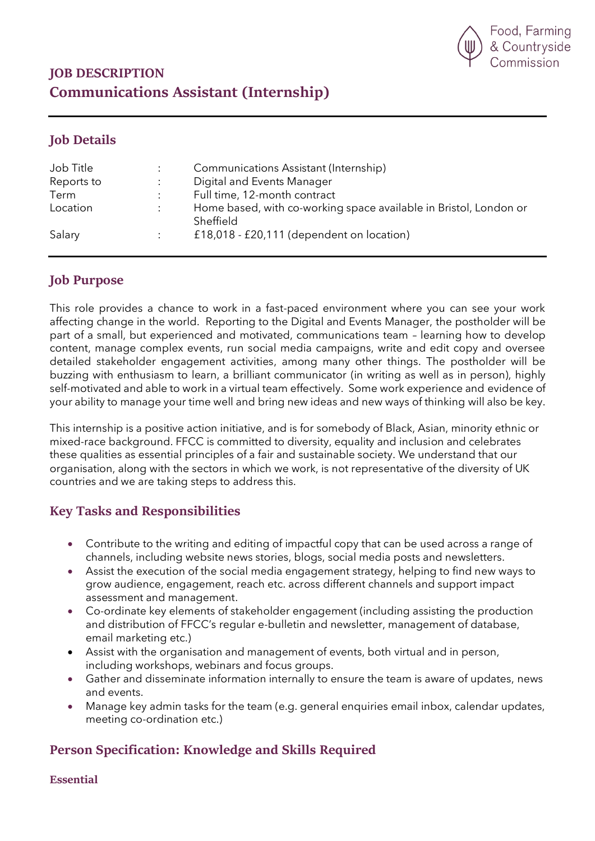

# JOB DESCRIPTION Communications Assistant (Internship)

### Job Details

| Job Title  | Communications Assistant (Internship)                                          |
|------------|--------------------------------------------------------------------------------|
| Reports to | Digital and Events Manager                                                     |
| Term       | Full time, 12-month contract                                                   |
| Location   | Home based, with co-working space available in Bristol, London or<br>Sheffield |
| Salary     | £18,018 - £20,111 (dependent on location)                                      |

## Job Purpose

This role provides a chance to work in a fast-paced environment where you can see your work affecting change in the world. Reporting to the Digital and Events Manager, the postholder will be part of a small, but experienced and motivated, communications team – learning how to develop content, manage complex events, run social media campaigns, write and edit copy and oversee detailed stakeholder engagement activities, among many other things. The postholder will be buzzing with enthusiasm to learn, a brilliant communicator (in writing as well as in person), highly self-motivated and able to work in a virtual team effectively. Some work experience and evidence of your ability to manage your time well and bring new ideas and new ways of thinking will also be key.

This internship is a positive action initiative, and is for somebody of Black, Asian, minority ethnic or mixed-race background. FFCC is committed to diversity, equality and inclusion and celebrates these qualities as essential principles of a fair and sustainable society. We understand that our organisation, along with the sectors in which we work, is not representative of the diversity of UK countries and we are taking steps to address this.

## Key Tasks and Responsibilities

- Contribute to the writing and editing of impactful copy that can be used across a range of channels, including website news stories, blogs, social media posts and newsletters.
- Assist the execution of the social media engagement strategy, helping to find new ways to grow audience, engagement, reach etc. across different channels and support impact assessment and management.
- Co-ordinate key elements of stakeholder engagement (including assisting the production and distribution of FFCC's regular e-bulletin and newsletter, management of database, email marketing etc.)
- Assist with the organisation and management of events, both virtual and in person, including workshops, webinars and focus groups.
- Gather and disseminate information internally to ensure the team is aware of updates, news and events.
- Manage key admin tasks for the team (e.g. general enquiries email inbox, calendar updates, meeting co-ordination etc.)

# Person Specification: Knowledge and Skills Required

Essential